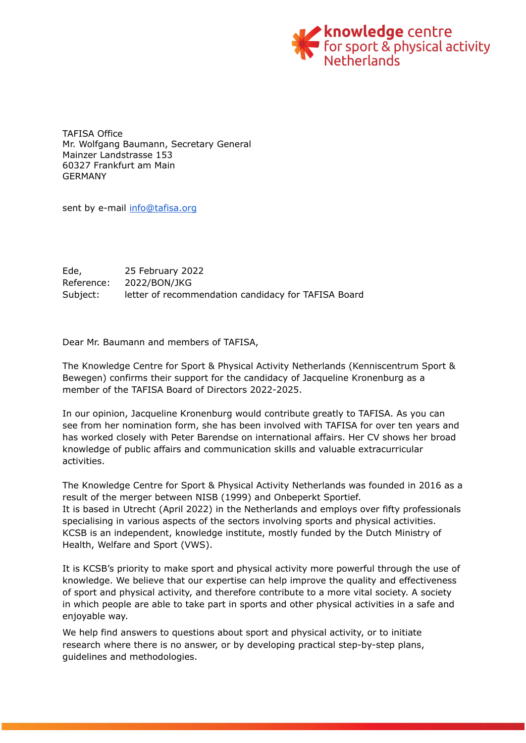

TAFISA Office Mr. Wolfgang Baumann, Secretary General Mainzer Landstrasse 153 60327 Frankfurt am Main GERMANY

sent by e-mail [info@tafisa.org](mailto:info@tafisa.org)

Ede, 25 February 2022 Reference: 2022/BON/JKG Subject: letter of recommendation candidacy for TAFISA Board

Dear Mr. Baumann and members of TAFISA,

The Knowledge Centre for Sport & Physical Activity Netherlands (Kenniscentrum Sport & Bewegen) confirms their support for the candidacy of Jacqueline Kronenburg as a member of the TAFISA Board of Directors 2022-2025.

In our opinion, Jacqueline Kronenburg would contribute greatly to TAFISA. As you can see from her nomination form, she has been involved with TAFISA for over ten years and has worked closely with Peter Barendse on international affairs. Her CV shows her broad knowledge of public affairs and communication skills and valuable extracurricular activities.

The Knowledge Centre for Sport & Physical Activity Netherlands was founded in 2016 as a result of the merger between NISB (1999) and Onbeperkt Sportief. It is based in Utrecht (April 2022) in the Netherlands and employs over fifty professionals specialising in various aspects of the sectors involving sports and physical activities. KCSB is an independent, knowledge institute, mostly funded by the Dutch Ministry of Health, Welfare and Sport (VWS).

It is KCSB's priority to make sport and physical activity more powerful through the use of knowledge. We believe that our expertise can help improve the quality and effectiveness of sport and physical activity, and therefore contribute to a more vital society. A society in which people are able to take part in sports and other physical activities in a safe and enjoyable way.

We help find answers to questions about sport and physical activity, or to initiate research where there is no answer, or by developing practical step-by-step plans, guidelines and methodologies.